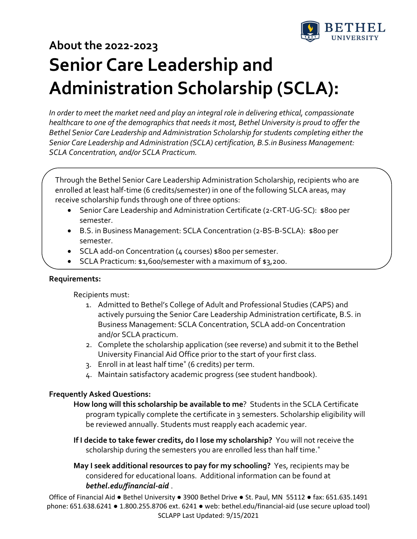

# **About the 2022‐2023 Senior Care Leadership and Administration Scholarship (SCLA):**

*In order to meet the market need and play an integral role in delivering ethical, compassionate healthcare to one of the demographics that needs it most, Bethel University is proud to offer the Bethel Senior Care Leadership and Administration Scholarship for students completing either the Senior Care Leadership and Administration (SCLA) certification, B.S.in Business Management: SCLA Concentration, and/or SCLA Practicum.*

Through the Bethel Senior Care Leadership Administration Scholarship, recipients who are enrolled at least half-time (6 credits/semester) in one of the following SLCA areas, may receive scholarship funds through one of three options:

- Senior Care Leadership and Administration Certificate (2‐CRT‐UG‐SC): \$800 per semester.
- B.S. in Business Management: SCLA Concentration (2‐BS‐B‐SCLA): \$800 per semester.
- SCLA add-on Concentration (4 courses) \$800 per semester.
- SCLA Practicum: \$1,600/semester with a maximum of \$3,200.

#### **Requirements:**

Recipients must:

- 1. Admitted to Bethel's College of Adult and Professional Studies (CAPS) and actively pursuing the Senior Care Leadership Administration certificate, B.S. in Business Management: SCLA Concentration, SCLA add‐on Concentration and/or SCLA practicum.
- 2. Complete the scholarship application (see reverse) and submit it to the Bethel University Financial Aid Office prior to the start of your first class.
- 3. Enroll in at least half time\* (6 credits) per term.
- 4. Maintain satisfactory academic progress (see student handbook).

### **Frequently Asked Questions:**

- **How long will this scholarship be available to me**? Students in the SCLA Certificate program typically complete the certificate in 3 semesters. Scholarship eligibility will be reviewed annually. Students must reapply each academic year.
- **If I decide to take fewer credits, do I lose my scholarship?** You will not receive the scholarship during the semesters you are enrolled less than half time.<sup>\*</sup>
- **May I seek additional resources to pay for my schooling?** Yes, recipients may be considered for educational loans. Additional information can be found at *bethel.edu/financial‐aid* .

Office of Financial Aid ● Bethel University ● 3900 Bethel Drive ● St. Paul, MN 55112 ● fax: 651.635.1491 phone: 651.638.6241 ● 1.800.255.8706 ext. 6241 ● web: bethel.edu/financial‐aid (use secure upload tool) SCLAPP Last Updated: 9/15/2021